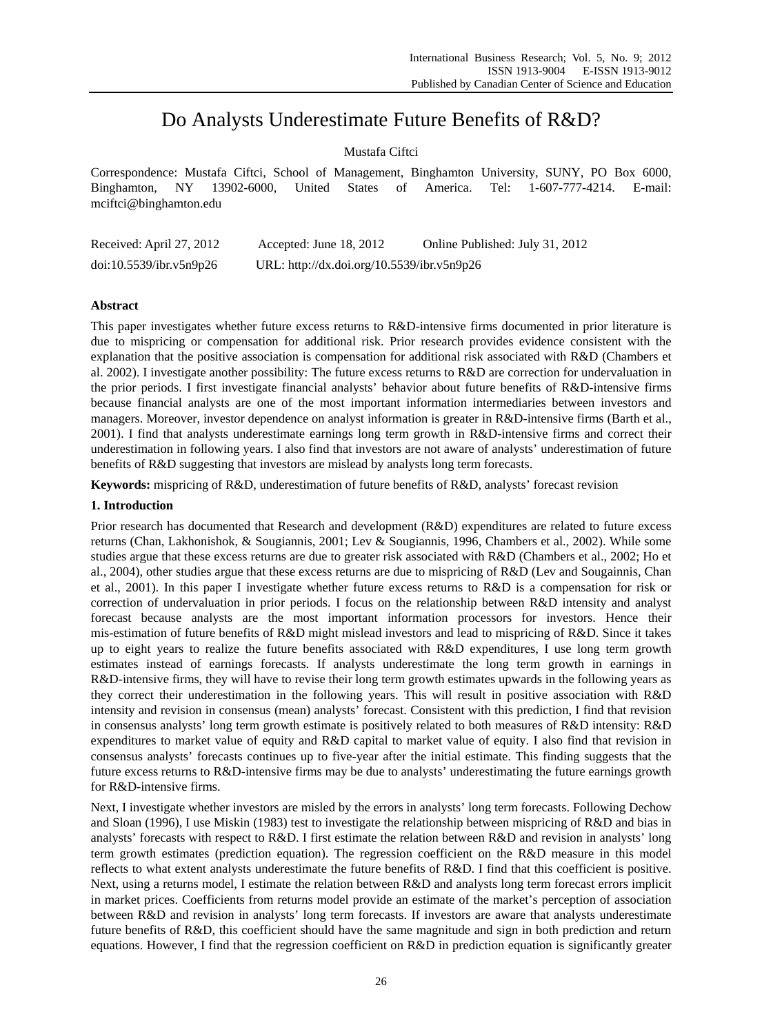# Do Analysts Underestimate Future Benefits of R&D?

# Mustafa Ciftci

Correspondence: Mustafa Ciftci, School of Management, Binghamton University, SUNY, PO Box 6000, Binghamton, NY 13902-6000, United States of America. Tel: 1-607-777-4214. E-mail: mciftci@binghamton.edu

| Received: April 27, 2012 | Accepted: June $18, 2012$                  | Online Published: July 31, 2012 |
|--------------------------|--------------------------------------------|---------------------------------|
| doi:10.5539/ibr.v5n9p26  | URL: http://dx.doi.org/10.5539/ibr.v5n9p26 |                                 |

# **Abstract**

This paper investigates whether future excess returns to R&D-intensive firms documented in prior literature is due to mispricing or compensation for additional risk. Prior research provides evidence consistent with the explanation that the positive association is compensation for additional risk associated with R&D (Chambers et al. 2002). I investigate another possibility: The future excess returns to R&D are correction for undervaluation in the prior periods. I first investigate financial analysts' behavior about future benefits of R&D-intensive firms because financial analysts are one of the most important information intermediaries between investors and managers. Moreover, investor dependence on analyst information is greater in R&D-intensive firms (Barth et al., 2001). I find that analysts underestimate earnings long term growth in R&D-intensive firms and correct their underestimation in following years. I also find that investors are not aware of analysts' underestimation of future benefits of R&D suggesting that investors are mislead by analysts long term forecasts.

**Keywords:** mispricing of R&D, underestimation of future benefits of R&D, analysts' forecast revision

## **1. Introduction**

Prior research has documented that Research and development (R&D) expenditures are related to future excess returns (Chan, Lakhonishok, & Sougiannis, 2001; Lev & Sougiannis, 1996, Chambers et al., 2002). While some studies argue that these excess returns are due to greater risk associated with R&D (Chambers et al., 2002; Ho et al., 2004), other studies argue that these excess returns are due to mispricing of R&D (Lev and Sougainnis, Chan et al., 2001). In this paper I investigate whether future excess returns to R&D is a compensation for risk or correction of undervaluation in prior periods. I focus on the relationship between R&D intensity and analyst forecast because analysts are the most important information processors for investors. Hence their mis-estimation of future benefits of R&D might mislead investors and lead to mispricing of R&D. Since it takes up to eight years to realize the future benefits associated with R&D expenditures, I use long term growth estimates instead of earnings forecasts. If analysts underestimate the long term growth in earnings in R&D-intensive firms, they will have to revise their long term growth estimates upwards in the following years as they correct their underestimation in the following years. This will result in positive association with R&D intensity and revision in consensus (mean) analysts' forecast. Consistent with this prediction, I find that revision in consensus analysts' long term growth estimate is positively related to both measures of R&D intensity: R&D expenditures to market value of equity and R&D capital to market value of equity. I also find that revision in consensus analysts' forecasts continues up to five-year after the initial estimate. This finding suggests that the future excess returns to R&D-intensive firms may be due to analysts' underestimating the future earnings growth for R&D-intensive firms.

Next, I investigate whether investors are misled by the errors in analysts' long term forecasts. Following Dechow and Sloan (1996), I use Miskin (1983) test to investigate the relationship between mispricing of R&D and bias in analysts' forecasts with respect to R&D. I first estimate the relation between R&D and revision in analysts' long term growth estimates (prediction equation). The regression coefficient on the R&D measure in this model reflects to what extent analysts underestimate the future benefits of R&D. I find that this coefficient is positive. Next, using a returns model, I estimate the relation between R&D and analysts long term forecast errors implicit in market prices. Coefficients from returns model provide an estimate of the market's perception of association between R&D and revision in analysts' long term forecasts. If investors are aware that analysts underestimate future benefits of R&D, this coefficient should have the same magnitude and sign in both prediction and return equations. However, I find that the regression coefficient on R&D in prediction equation is significantly greater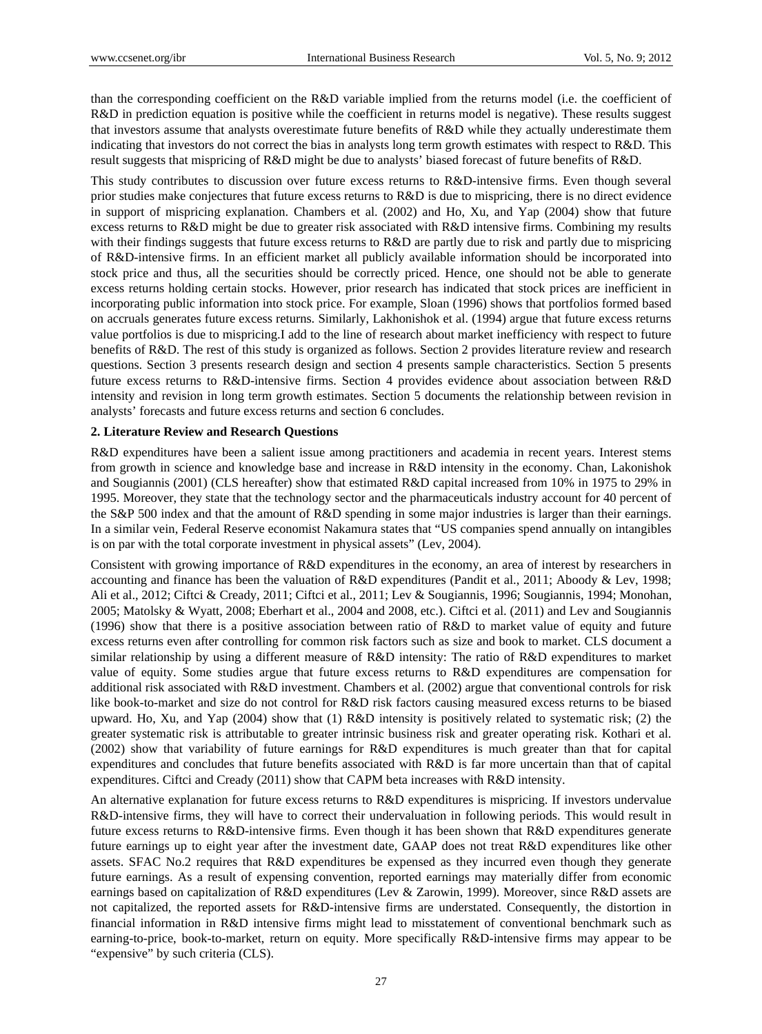than the corresponding coefficient on the R&D variable implied from the returns model (i.e. the coefficient of R&D in prediction equation is positive while the coefficient in returns model is negative). These results suggest that investors assume that analysts overestimate future benefits of R&D while they actually underestimate them indicating that investors do not correct the bias in analysts long term growth estimates with respect to R&D. This result suggests that mispricing of R&D might be due to analysts' biased forecast of future benefits of R&D.

This study contributes to discussion over future excess returns to R&D-intensive firms. Even though several prior studies make conjectures that future excess returns to R&D is due to mispricing, there is no direct evidence in support of mispricing explanation. Chambers et al. (2002) and Ho, Xu, and Yap (2004) show that future excess returns to R&D might be due to greater risk associated with R&D intensive firms. Combining my results with their findings suggests that future excess returns to R&D are partly due to risk and partly due to mispricing of R&D-intensive firms. In an efficient market all publicly available information should be incorporated into stock price and thus, all the securities should be correctly priced. Hence, one should not be able to generate excess returns holding certain stocks. However, prior research has indicated that stock prices are inefficient in incorporating public information into stock price. For example, Sloan (1996) shows that portfolios formed based on accruals generates future excess returns. Similarly, Lakhonishok et al. (1994) argue that future excess returns value portfolios is due to mispricing.I add to the line of research about market inefficiency with respect to future benefits of R&D. The rest of this study is organized as follows. Section 2 provides literature review and research questions. Section 3 presents research design and section 4 presents sample characteristics. Section 5 presents future excess returns to R&D-intensive firms. Section 4 provides evidence about association between R&D intensity and revision in long term growth estimates. Section 5 documents the relationship between revision in analysts' forecasts and future excess returns and section 6 concludes.

#### **2. Literature Review and Research Questions**

R&D expenditures have been a salient issue among practitioners and academia in recent years. Interest stems from growth in science and knowledge base and increase in R&D intensity in the economy. Chan, Lakonishok and Sougiannis (2001) (CLS hereafter) show that estimated R&D capital increased from 10% in 1975 to 29% in 1995. Moreover, they state that the technology sector and the pharmaceuticals industry account for 40 percent of the S&P 500 index and that the amount of R&D spending in some major industries is larger than their earnings. In a similar vein, Federal Reserve economist Nakamura states that "US companies spend annually on intangibles is on par with the total corporate investment in physical assets" (Lev, 2004).

Consistent with growing importance of R&D expenditures in the economy, an area of interest by researchers in accounting and finance has been the valuation of R&D expenditures (Pandit et al., 2011; Aboody & Lev, 1998; Ali et al., 2012; Ciftci & Cready, 2011; Ciftci et al., 2011; Lev & Sougiannis, 1996; Sougiannis, 1994; Monohan, 2005; Matolsky & Wyatt, 2008; Eberhart et al., 2004 and 2008, etc.). Ciftci et al. (2011) and Lev and Sougiannis (1996) show that there is a positive association between ratio of R&D to market value of equity and future excess returns even after controlling for common risk factors such as size and book to market. CLS document a similar relationship by using a different measure of R&D intensity: The ratio of R&D expenditures to market value of equity. Some studies argue that future excess returns to R&D expenditures are compensation for additional risk associated with R&D investment. Chambers et al. (2002) argue that conventional controls for risk like book-to-market and size do not control for R&D risk factors causing measured excess returns to be biased upward. Ho, Xu, and Yap (2004) show that (1) R&D intensity is positively related to systematic risk; (2) the greater systematic risk is attributable to greater intrinsic business risk and greater operating risk. Kothari et al. (2002) show that variability of future earnings for R&D expenditures is much greater than that for capital expenditures and concludes that future benefits associated with R&D is far more uncertain than that of capital expenditures. Ciftci and Cready (2011) show that CAPM beta increases with R&D intensity.

An alternative explanation for future excess returns to R&D expenditures is mispricing. If investors undervalue R&D-intensive firms, they will have to correct their undervaluation in following periods. This would result in future excess returns to R&D-intensive firms. Even though it has been shown that R&D expenditures generate future earnings up to eight year after the investment date, GAAP does not treat R&D expenditures like other assets. SFAC No.2 requires that R&D expenditures be expensed as they incurred even though they generate future earnings. As a result of expensing convention, reported earnings may materially differ from economic earnings based on capitalization of R&D expenditures (Lev & Zarowin, 1999). Moreover, since R&D assets are not capitalized, the reported assets for R&D-intensive firms are understated. Consequently, the distortion in financial information in R&D intensive firms might lead to misstatement of conventional benchmark such as earning-to-price, book-to-market, return on equity. More specifically R&D-intensive firms may appear to be "expensive" by such criteria (CLS).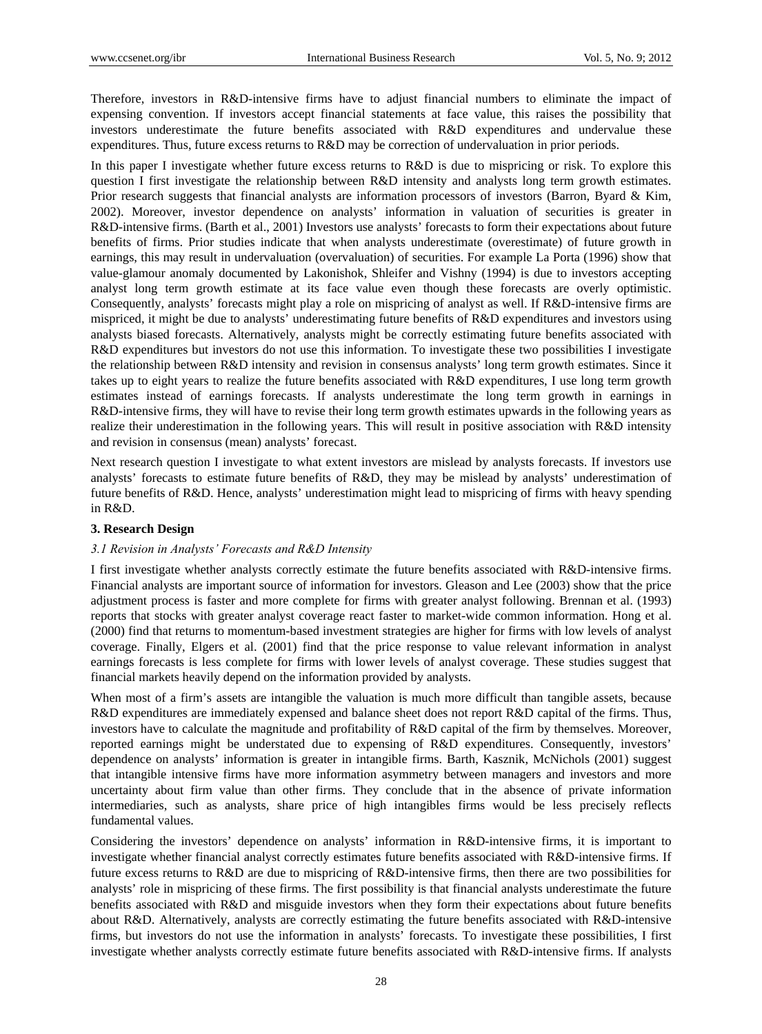Therefore, investors in R&D-intensive firms have to adjust financial numbers to eliminate the impact of expensing convention. If investors accept financial statements at face value, this raises the possibility that investors underestimate the future benefits associated with R&D expenditures and undervalue these expenditures. Thus, future excess returns to R&D may be correction of undervaluation in prior periods.

In this paper I investigate whether future excess returns to R&D is due to mispricing or risk. To explore this question I first investigate the relationship between R&D intensity and analysts long term growth estimates. Prior research suggests that financial analysts are information processors of investors (Barron, Byard & Kim, 2002). Moreover, investor dependence on analysts' information in valuation of securities is greater in R&D-intensive firms. (Barth et al., 2001) Investors use analysts' forecasts to form their expectations about future benefits of firms. Prior studies indicate that when analysts underestimate (overestimate) of future growth in earnings, this may result in undervaluation (overvaluation) of securities. For example La Porta (1996) show that value-glamour anomaly documented by Lakonishok, Shleifer and Vishny (1994) is due to investors accepting analyst long term growth estimate at its face value even though these forecasts are overly optimistic. Consequently, analysts' forecasts might play a role on mispricing of analyst as well. If R&D-intensive firms are mispriced, it might be due to analysts' underestimating future benefits of R&D expenditures and investors using analysts biased forecasts. Alternatively, analysts might be correctly estimating future benefits associated with R&D expenditures but investors do not use this information. To investigate these two possibilities I investigate the relationship between R&D intensity and revision in consensus analysts' long term growth estimates. Since it takes up to eight years to realize the future benefits associated with R&D expenditures, I use long term growth estimates instead of earnings forecasts. If analysts underestimate the long term growth in earnings in R&D-intensive firms, they will have to revise their long term growth estimates upwards in the following years as realize their underestimation in the following years. This will result in positive association with R&D intensity and revision in consensus (mean) analysts' forecast.

Next research question I investigate to what extent investors are mislead by analysts forecasts. If investors use analysts' forecasts to estimate future benefits of R&D, they may be mislead by analysts' underestimation of future benefits of R&D. Hence, analysts' underestimation might lead to mispricing of firms with heavy spending in R&D.

#### **3. Research Design**

#### *3.1 Revision in Analysts' Forecasts and R&D Intensity*

I first investigate whether analysts correctly estimate the future benefits associated with R&D-intensive firms. Financial analysts are important source of information for investors. Gleason and Lee (2003) show that the price adjustment process is faster and more complete for firms with greater analyst following. Brennan et al. (1993) reports that stocks with greater analyst coverage react faster to market-wide common information. Hong et al. (2000) find that returns to momentum-based investment strategies are higher for firms with low levels of analyst coverage. Finally, Elgers et al. (2001) find that the price response to value relevant information in analyst earnings forecasts is less complete for firms with lower levels of analyst coverage. These studies suggest that financial markets heavily depend on the information provided by analysts.

When most of a firm's assets are intangible the valuation is much more difficult than tangible assets, because R&D expenditures are immediately expensed and balance sheet does not report R&D capital of the firms. Thus, investors have to calculate the magnitude and profitability of R&D capital of the firm by themselves. Moreover, reported earnings might be understated due to expensing of R&D expenditures. Consequently, investors' dependence on analysts' information is greater in intangible firms. Barth, Kasznik, McNichols (2001) suggest that intangible intensive firms have more information asymmetry between managers and investors and more uncertainty about firm value than other firms. They conclude that in the absence of private information intermediaries, such as analysts, share price of high intangibles firms would be less precisely reflects fundamental values.

Considering the investors' dependence on analysts' information in R&D-intensive firms, it is important to investigate whether financial analyst correctly estimates future benefits associated with R&D-intensive firms. If future excess returns to R&D are due to mispricing of R&D-intensive firms, then there are two possibilities for analysts' role in mispricing of these firms. The first possibility is that financial analysts underestimate the future benefits associated with R&D and misguide investors when they form their expectations about future benefits about R&D. Alternatively, analysts are correctly estimating the future benefits associated with R&D-intensive firms, but investors do not use the information in analysts' forecasts. To investigate these possibilities, I first investigate whether analysts correctly estimate future benefits associated with R&D-intensive firms. If analysts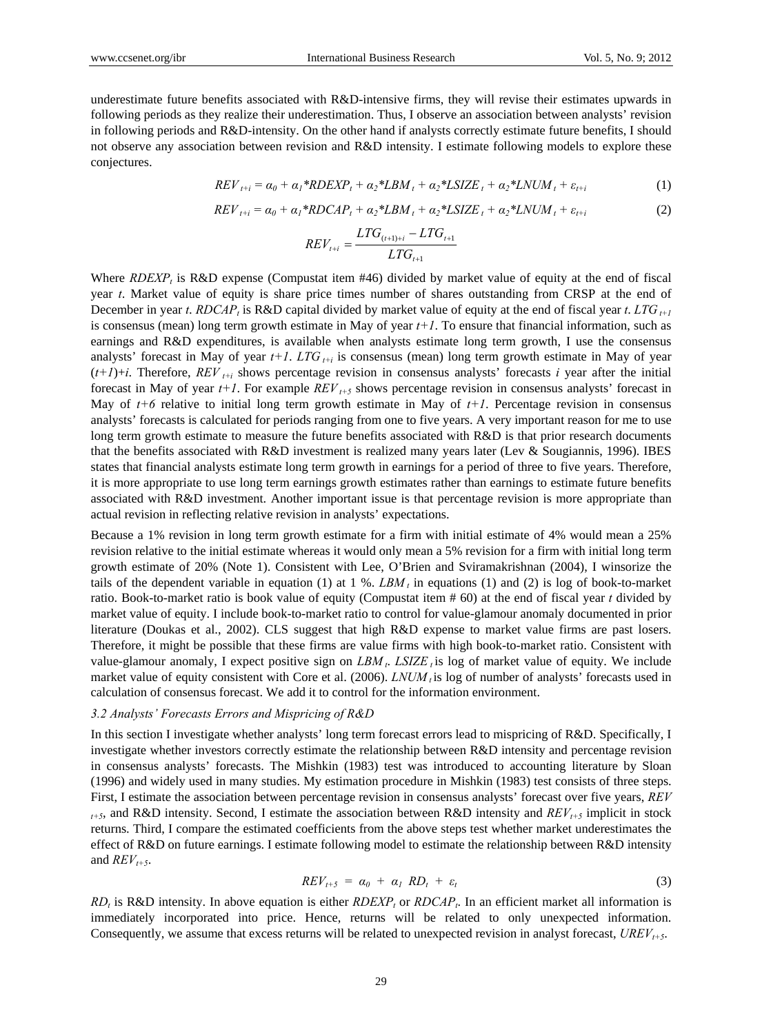underestimate future benefits associated with R&D-intensive firms, they will revise their estimates upwards in following periods as they realize their underestimation. Thus, I observe an association between analysts' revision in following periods and R&D-intensity. On the other hand if analysts correctly estimate future benefits, I should not observe any association between revision and R&D intensity. I estimate following models to explore these conjectures.

$$
REV_{t+i} = \alpha_0 + \alpha_1 * RDEXP_t + \alpha_2 * LBM_t + \alpha_2 * LSIZE_t + \alpha_2 * LNUM_t + \varepsilon_{t+i}
$$
 (1)

$$
REV_{t+i} = \alpha_0 + \alpha_1 * RDCAP_t + \alpha_2 * LBM_t + \alpha_2 * LSIZE_t + \alpha_2 * LNUM_t + \varepsilon_{t+i}
$$
\n
$$
(2)
$$

$$
REV_{t+i} = \frac{LTG_{(t+1)+i} - LTG_{t+1}}{LTG_{t+1}}
$$

Where *RDEXP<sub>t</sub>* is R&D expense (Compustat item #46) divided by market value of equity at the end of fiscal year *t*. Market value of equity is share price times number of shares outstanding from CRSP at the end of December in year *t*. *RDCAP<sub>t</sub>* is R&D capital divided by market value of equity at the end of fiscal year *t*. *LTG*<sub> $t+1$ </sub> is consensus (mean) long term growth estimate in May of year  $t+1$ . To ensure that financial information, such as earnings and R&D expenditures, is available when analysts estimate long term growth, I use the consensus analysts' forecast in May of year  $t+1$ . *LTG*  $_{t+i}$  is consensus (mean) long term growth estimate in May of year  $(t+1)+i$ . Therefore,  $REV_{t+i}$  shows percentage revision in consensus analysts' forecasts *i* year after the initial forecast in May of year  $t+1$ . For example  $REV_{t+5}$  shows percentage revision in consensus analysts' forecast in May of  $t+6$  relative to initial long term growth estimate in May of  $t+1$ . Percentage revision in consensus analysts' forecasts is calculated for periods ranging from one to five years. A very important reason for me to use long term growth estimate to measure the future benefits associated with R&D is that prior research documents that the benefits associated with R&D investment is realized many years later (Lev & Sougiannis, 1996). IBES states that financial analysts estimate long term growth in earnings for a period of three to five years. Therefore, it is more appropriate to use long term earnings growth estimates rather than earnings to estimate future benefits associated with R&D investment. Another important issue is that percentage revision is more appropriate than actual revision in reflecting relative revision in analysts' expectations.

Because a 1% revision in long term growth estimate for a firm with initial estimate of 4% would mean a 25% revision relative to the initial estimate whereas it would only mean a 5% revision for a firm with initial long term growth estimate of 20% (Note 1). Consistent with Lee, O'Brien and Sviramakrishnan (2004), I winsorize the tails of the dependent variable in equation (1) at  $1 \%$ . *LBM<sub>t</sub>* in equations (1) and (2) is log of book-to-market ratio. Book-to-market ratio is book value of equity (Compustat item # 60) at the end of fiscal year *t* divided by market value of equity. I include book-to-market ratio to control for value-glamour anomaly documented in prior literature (Doukas et al., 2002). CLS suggest that high R&D expense to market value firms are past losers. Therefore, it might be possible that these firms are value firms with high book-to-market ratio. Consistent with value-glamour anomaly, I expect positive sign on  $LBM_t$ .  $LSIZE_t$  is log of market value of equity. We include market value of equity consistent with Core et al. (2006). *LNUM<sub>t</sub>* is log of number of analysts' forecasts used in calculation of consensus forecast. We add it to control for the information environment.

## *3.2 Analysts' Forecasts Errors and Mispricing of R&D*

In this section I investigate whether analysts' long term forecast errors lead to mispricing of R&D. Specifically, I investigate whether investors correctly estimate the relationship between R&D intensity and percentage revision in consensus analysts' forecasts. The Mishkin (1983) test was introduced to accounting literature by Sloan (1996) and widely used in many studies. My estimation procedure in Mishkin (1983) test consists of three steps. First, I estimate the association between percentage revision in consensus analysts' forecast over five years, *REV*  $t_{t+5}$ , and R&D intensity. Second, I estimate the association between R&D intensity and *REV<sub>t+5</sub>* implicit in stock returns. Third, I compare the estimated coefficients from the above steps test whether market underestimates the effect of R&D on future earnings. I estimate following model to estimate the relationship between R&D intensity and  $REV_{t+5}$ .

$$
REV_{t+5} = \alpha_0 + \alpha_1 RD_t + \varepsilon_t \tag{3}
$$

*RD<sub>t</sub>* is R&D intensity. In above equation is either *RDEXP<sub>t</sub>* or *RDCAP<sub>t</sub>*. In an efficient market all information is immediately incorporated into price. Hence, returns will be related to only unexpected information. Consequently, we assume that excess returns will be related to unexpected revision in analyst forecast, *UREV<sub>t+5</sub>*.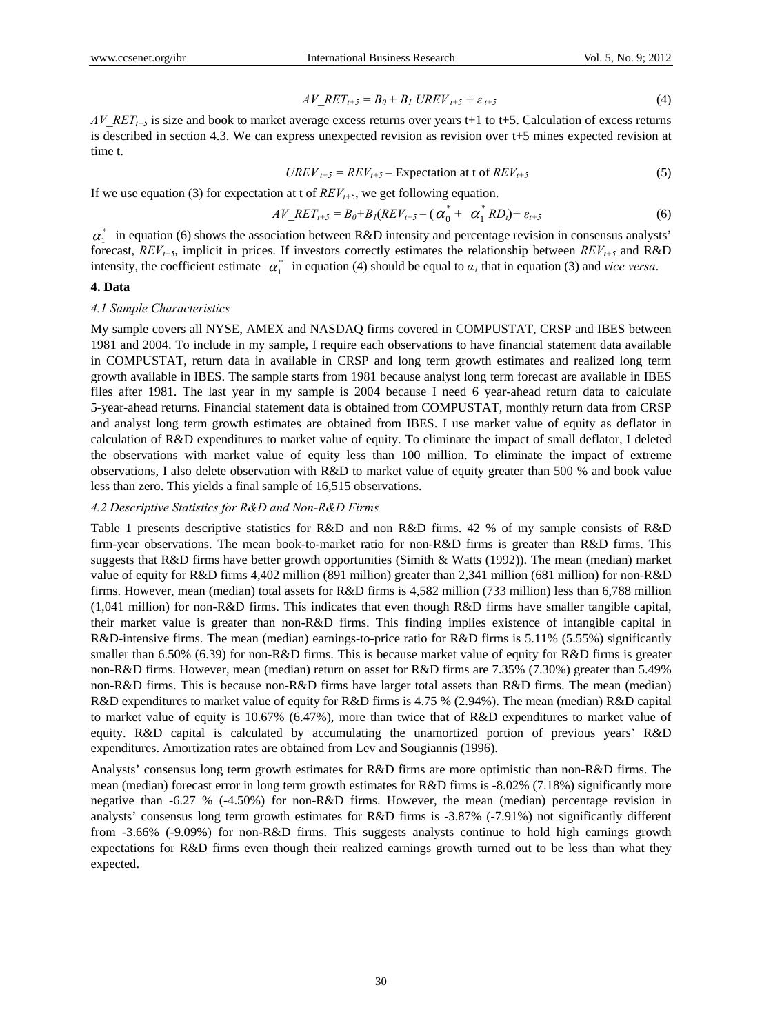$$
AV\_RET_{t+5} = B_0 + B_1 \text{ UREV}_{t+5} + \varepsilon_{t+5} \tag{4}
$$

*AV\_RET<sub>t+5</sub>* is size and book to market average excess returns over years t+1 to t+5. Calculation of excess returns is described in section 4.3. We can express unexpected revision as revision over t+5 mines expected revision at time t.

$$
UREV_{t+5} = REV_{t+5} - Expectation at t of REV_{t+5}
$$
 (5)

If we use equation (3) for expectation at t of  $REV_{t+5}$ , we get following equation.

$$
AV\_RET_{t+5} = B_0 + B_1 (REV_{t+5} - (\alpha_0^* + \alpha_1^* RD_t) + \varepsilon_{t+5}
$$
 (6)

 $\alpha_{1}^{*}$  in equation (6) shows the association between R&D intensity and percentage revision in consensus analysts' forecast,  $REV_{t+5}$ , implicit in prices. If investors correctly estimates the relationship between  $REV_{t+5}$  and  $R&D$ intensity, the coefficient estimate  $\alpha^*$  in equation (4) should be equal to  $\alpha_l$  that in equation (3) and *vice versa*.

## **4. Data**

#### *4.1 Sample Characteristics*

My sample covers all NYSE, AMEX and NASDAQ firms covered in COMPUSTAT, CRSP and IBES between 1981 and 2004. To include in my sample, I require each observations to have financial statement data available in COMPUSTAT, return data in available in CRSP and long term growth estimates and realized long term growth available in IBES. The sample starts from 1981 because analyst long term forecast are available in IBES files after 1981. The last year in my sample is 2004 because I need 6 year-ahead return data to calculate 5-year-ahead returns. Financial statement data is obtained from COMPUSTAT, monthly return data from CRSP and analyst long term growth estimates are obtained from IBES. I use market value of equity as deflator in calculation of R&D expenditures to market value of equity. To eliminate the impact of small deflator, I deleted the observations with market value of equity less than 100 million. To eliminate the impact of extreme observations, I also delete observation with R&D to market value of equity greater than 500 % and book value less than zero. This yields a final sample of 16,515 observations.

#### *4.2 Descriptive Statistics for R&D and Non-R&D Firms*

Table 1 presents descriptive statistics for R&D and non R&D firms. 42 % of my sample consists of R&D firm-year observations. The mean book-to-market ratio for non-R&D firms is greater than R&D firms. This suggests that R&D firms have better growth opportunities (Simith & Watts (1992)). The mean (median) market value of equity for R&D firms 4,402 million (891 million) greater than 2,341 million (681 million) for non-R&D firms. However, mean (median) total assets for R&D firms is 4,582 million (733 million) less than 6,788 million (1,041 million) for non-R&D firms. This indicates that even though R&D firms have smaller tangible capital, their market value is greater than non-R&D firms. This finding implies existence of intangible capital in R&D-intensive firms. The mean (median) earnings-to-price ratio for R&D firms is 5.11% (5.55%) significantly smaller than 6.50% (6.39) for non-R&D firms. This is because market value of equity for R&D firms is greater non-R&D firms. However, mean (median) return on asset for R&D firms are 7.35% (7.30%) greater than 5.49% non-R&D firms. This is because non-R&D firms have larger total assets than R&D firms. The mean (median) R&D expenditures to market value of equity for R&D firms is 4.75 % (2.94%). The mean (median) R&D capital to market value of equity is 10.67% (6.47%), more than twice that of R&D expenditures to market value of equity. R&D capital is calculated by accumulating the unamortized portion of previous years' R&D expenditures. Amortization rates are obtained from Lev and Sougiannis (1996).

Analysts' consensus long term growth estimates for R&D firms are more optimistic than non-R&D firms. The mean (median) forecast error in long term growth estimates for R&D firms is -8.02% (7.18%) significantly more negative than -6.27 % (-4.50%) for non-R&D firms. However, the mean (median) percentage revision in analysts' consensus long term growth estimates for R&D firms is -3.87% (-7.91%) not significantly different from -3.66% (-9.09%) for non-R&D firms. This suggests analysts continue to hold high earnings growth expectations for R&D firms even though their realized earnings growth turned out to be less than what they expected.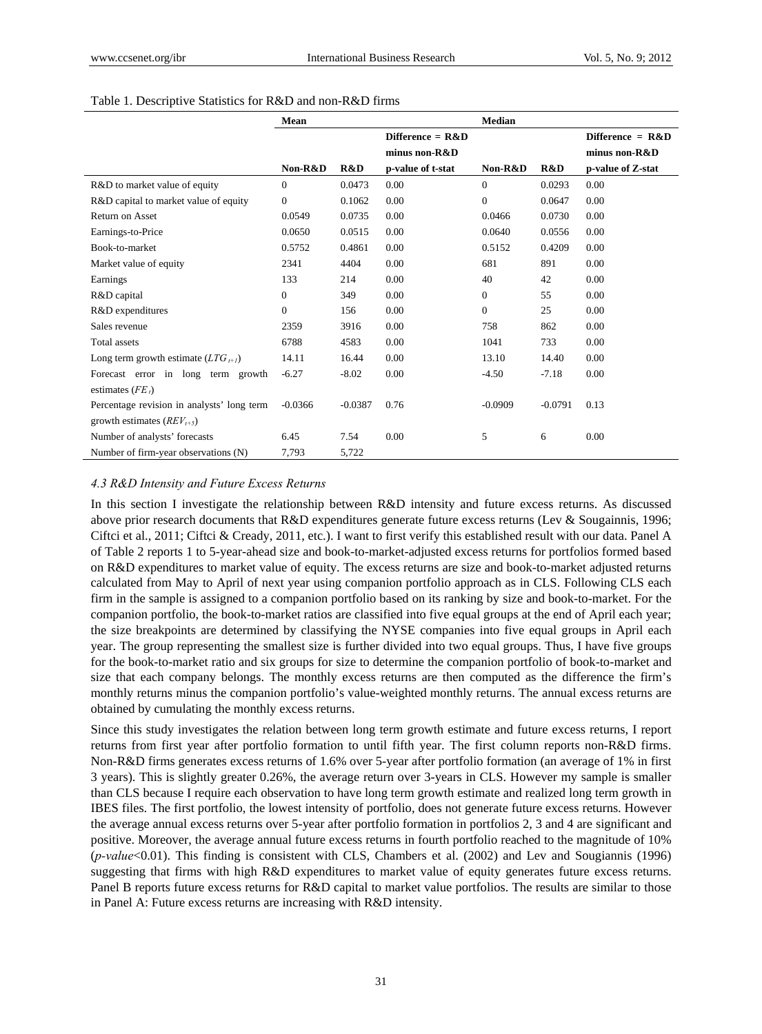|                                            | Mean           |           |                    | <b>Median</b>    |           |                    |
|--------------------------------------------|----------------|-----------|--------------------|------------------|-----------|--------------------|
|                                            |                |           | Difference = $R&D$ |                  |           | Difference = $R&D$ |
|                                            |                |           | minus non-R&D      |                  |           | minus non-R&D      |
|                                            | Non-R&D        | R&D       | p-value of t-stat  | Non-R&D          | R&D       | p-value of Z-stat  |
| R&D to market value of equity              | $\overline{0}$ | 0.0473    | 0.00               | $\overline{0}$   | 0.0293    | 0.00               |
| R&D capital to market value of equity      | $\Omega$       | 0.1062    | 0.00               | $\overline{0}$   | 0.0647    | 0.00               |
| <b>Return on Asset</b>                     | 0.0549         | 0.0735    | 0.00               | 0.0466           | 0.0730    | 0.00               |
| Earnings-to-Price                          | 0.0650         | 0.0515    | 0.00               | 0.0640           | 0.0556    | 0.00               |
| Book-to-market                             | 0.5752         | 0.4861    | 0.00               | 0.5152           | 0.4209    | 0.00               |
| Market value of equity                     | 2341           | 4404      | 0.00               | 681              | 891       | 0.00               |
| Earnings                                   | 133            | 214       | 0.00               | 40               | 42        | 0.00               |
| R&D capital                                | $\mathbf{0}$   | 349       | 0.00               | $\boldsymbol{0}$ | 55        | 0.00               |
| R&D expenditures                           | $\Omega$       | 156       | 0.00               | $\overline{0}$   | 25        | 0.00               |
| Sales revenue                              | 2359           | 3916      | 0.00               | 758              | 862       | 0.00               |
| <b>Total</b> assets                        | 6788           | 4583      | 0.00               | 1041             | 733       | 0.00               |
| Long term growth estimate $(LTG_{t+1})$    | 14.11          | 16.44     | 0.00               | 13.10            | 14.40     | 0.00               |
| Forecast error in long term growth         | $-6.27$        | $-8.02$   | 0.00               | $-4.50$          | $-7.18$   | 0.00               |
| estimates $(FE)$                           |                |           |                    |                  |           |                    |
| Percentage revision in analysts' long term | $-0.0366$      | $-0.0387$ | 0.76               | $-0.0909$        | $-0.0791$ | 0.13               |
| growth estimates $(REV_{t+5})$             |                |           |                    |                  |           |                    |
| Number of analysts' forecasts              | 6.45           | 7.54      | 0.00               | 5                | 6         | 0.00               |
| Number of firm-year observations (N)       | 7,793          | 5,722     |                    |                  |           |                    |

## Table 1. Descriptive Statistics for R&D and non-R&D firms

## *4.3 R&D Intensity and Future Excess Returns*

In this section I investigate the relationship between R&D intensity and future excess returns. As discussed above prior research documents that R&D expenditures generate future excess returns (Lev & Sougainnis, 1996; Ciftci et al., 2011; Ciftci & Cready, 2011, etc.). I want to first verify this established result with our data. Panel A of Table 2 reports 1 to 5-year-ahead size and book-to-market-adjusted excess returns for portfolios formed based on R&D expenditures to market value of equity. The excess returns are size and book-to-market adjusted returns calculated from May to April of next year using companion portfolio approach as in CLS. Following CLS each firm in the sample is assigned to a companion portfolio based on its ranking by size and book-to-market. For the companion portfolio, the book-to-market ratios are classified into five equal groups at the end of April each year; the size breakpoints are determined by classifying the NYSE companies into five equal groups in April each year. The group representing the smallest size is further divided into two equal groups. Thus, I have five groups for the book-to-market ratio and six groups for size to determine the companion portfolio of book-to-market and size that each company belongs. The monthly excess returns are then computed as the difference the firm's monthly returns minus the companion portfolio's value-weighted monthly returns. The annual excess returns are obtained by cumulating the monthly excess returns.

Since this study investigates the relation between long term growth estimate and future excess returns, I report returns from first year after portfolio formation to until fifth year. The first column reports non-R&D firms. Non-R&D firms generates excess returns of 1.6% over 5-year after portfolio formation (an average of 1% in first 3 years). This is slightly greater 0.26%, the average return over 3-years in CLS. However my sample is smaller than CLS because I require each observation to have long term growth estimate and realized long term growth in IBES files. The first portfolio, the lowest intensity of portfolio, does not generate future excess returns. However the average annual excess returns over 5-year after portfolio formation in portfolios 2, 3 and 4 are significant and positive. Moreover, the average annual future excess returns in fourth portfolio reached to the magnitude of 10% (*p-value*<0.01). This finding is consistent with CLS, Chambers et al. (2002) and Lev and Sougiannis (1996) suggesting that firms with high R&D expenditures to market value of equity generates future excess returns. Panel B reports future excess returns for R&D capital to market value portfolios. The results are similar to those in Panel A: Future excess returns are increasing with R&D intensity.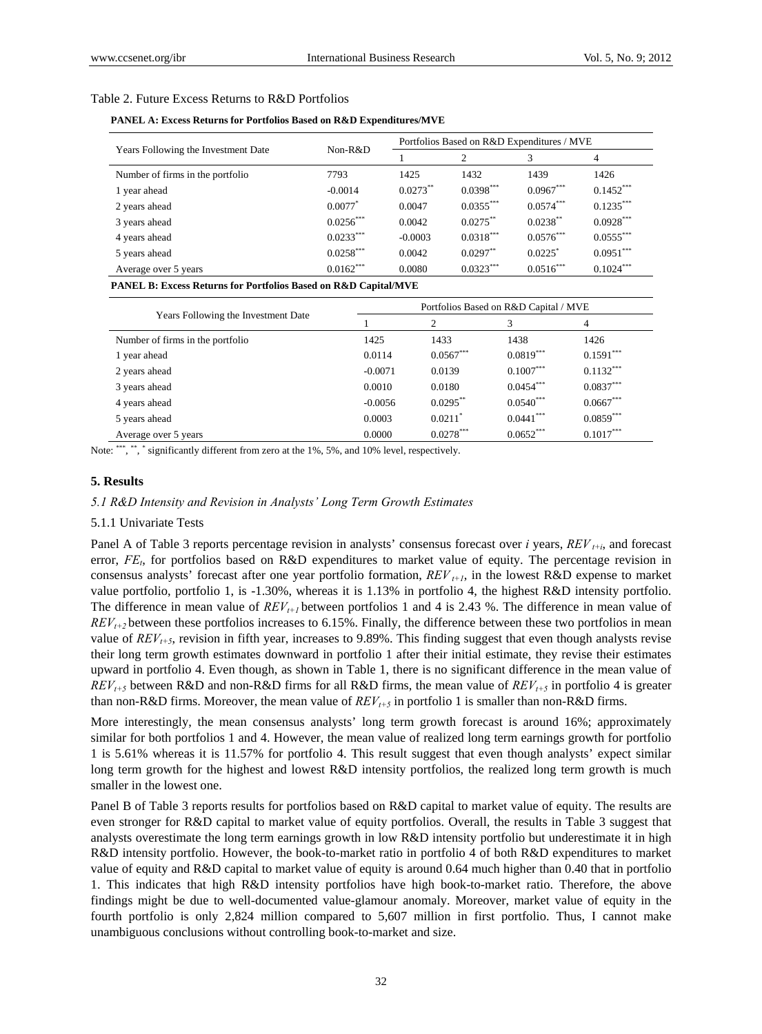#### Table 2. Future Excess Returns to R&D Portfolios

**PANEL A: Excess Returns for Portfolios Based on R&D Expenditures/MVE** 

|                                     |                       |            | Portfolios Based on R&D Expenditures / MVE |                       |             |
|-------------------------------------|-----------------------|------------|--------------------------------------------|-----------------------|-------------|
| Years Following the Investment Date | $Non-R&D$             |            | $\overline{c}$                             | 3                     | 4           |
| Number of firms in the portfolio    | 7793                  | 1425       | 1432                                       | 1439                  | 1426        |
| 1 year ahead                        | $-0.0014$             | $0.0273**$ | $0.0398***$                                | $0.0967***$           | $0.1452***$ |
| 2 years ahead                       | $0.0077$ <sup>*</sup> | 0.0047     | $0.0355***$                                | $0.0574***$           | $0.1235***$ |
| 3 years ahead                       | $0.0256***$           | 0.0042     | $0.0275***$                                | $0.0238***$           | $0.0928***$ |
| 4 years ahead                       | $0.0233***$           | $-0.0003$  | $0.0318***$                                | $0.0576***$           | $0.0555***$ |
| 5 years ahead                       | $0.0258***$           | 0.0042     | $0.0297**$                                 | $0.0225$ <sup>*</sup> | $0.0951***$ |
| Average over 5 years                | $0.0162***$           | 0.0080     | $0.0323***$                                | $0.0516***$           | $0.1024***$ |

**PANEL B: Excess Returns for Portfolios Based on R&D Capital/MVE** 

|                                     | Portfolios Based on R&D Capital / MVE |                       |             |             |  |  |  |
|-------------------------------------|---------------------------------------|-----------------------|-------------|-------------|--|--|--|
| Years Following the Investment Date |                                       | 2                     | 3           | 4           |  |  |  |
| Number of firms in the portfolio    | 1425                                  | 1433                  | 1438        | 1426        |  |  |  |
| 1 year ahead                        | 0.0114                                | $0.0567***$           | $0.0819***$ | $0.1591***$ |  |  |  |
| 2 years ahead                       | $-0.0071$                             | 0.0139                | $0.1007***$ | $0.1132***$ |  |  |  |
| 3 years ahead                       | 0.0010                                | 0.0180                | $0.0454***$ | $0.0837***$ |  |  |  |
| 4 years ahead                       | $-0.0056$                             | $0.0295$ **           | $0.0540***$ | $0.0667***$ |  |  |  |
| 5 years ahead                       | 0.0003                                | $0.0211$ <sup>*</sup> | $0.0441***$ | $0.0859***$ |  |  |  |
| Average over 5 years                | 0.0000                                | $0.0278***$           | $0.0652***$ | $0.1017***$ |  |  |  |

Note: \*\*\*, \*\*, \* significantly different from zero at the 1%, 5%, and 10% level, respectively.

#### **5. Results**

#### *5.1 R&D Intensity and Revision in Analysts' Long Term Growth Estimates*

#### 5.1.1 Univariate Tests

Panel A of Table 3 reports percentage revision in analysts' consensus forecast over *i* years, *REV t+i*, and forecast error, *FE<sub>t</sub>*, for portfolios based on R&D expenditures to market value of equity. The percentage revision in consensus analysts' forecast after one year portfolio formation, *REV t+1*, in the lowest R&D expense to market value portfolio, portfolio 1, is -1.30%, whereas it is 1.13% in portfolio 4, the highest R&D intensity portfolio. The difference in mean value of  $REV_{t+1}$  between portfolios 1 and 4 is 2.43 %. The difference in mean value of *REVt+2* between these portfolios increases to 6.15%. Finally, the difference between these two portfolios in mean value of  $REV_{t+5}$ , revision in fifth year, increases to 9.89%. This finding suggest that even though analysts revise their long term growth estimates downward in portfolio 1 after their initial estimate, they revise their estimates upward in portfolio 4. Even though, as shown in Table 1, there is no significant difference in the mean value of  $REV_{t+5}$  between R&D and non-R&D firms for all R&D firms, the mean value of  $REV_{t+5}$  in portfolio 4 is greater than non-R&D firms. Moreover, the mean value of  $REV_{t+5}$  in portfolio 1 is smaller than non-R&D firms.

More interestingly, the mean consensus analysts' long term growth forecast is around 16%; approximately similar for both portfolios 1 and 4. However, the mean value of realized long term earnings growth for portfolio 1 is 5.61% whereas it is 11.57% for portfolio 4. This result suggest that even though analysts' expect similar long term growth for the highest and lowest R&D intensity portfolios, the realized long term growth is much smaller in the lowest one.

Panel B of Table 3 reports results for portfolios based on R&D capital to market value of equity. The results are even stronger for R&D capital to market value of equity portfolios. Overall, the results in Table 3 suggest that analysts overestimate the long term earnings growth in low R&D intensity portfolio but underestimate it in high R&D intensity portfolio. However, the book-to-market ratio in portfolio 4 of both R&D expenditures to market value of equity and R&D capital to market value of equity is around 0.64 much higher than 0.40 that in portfolio 1. This indicates that high R&D intensity portfolios have high book-to-market ratio. Therefore, the above findings might be due to well-documented value-glamour anomaly. Moreover, market value of equity in the fourth portfolio is only 2,824 million compared to 5,607 million in first portfolio. Thus, I cannot make unambiguous conclusions without controlling book-to-market and size.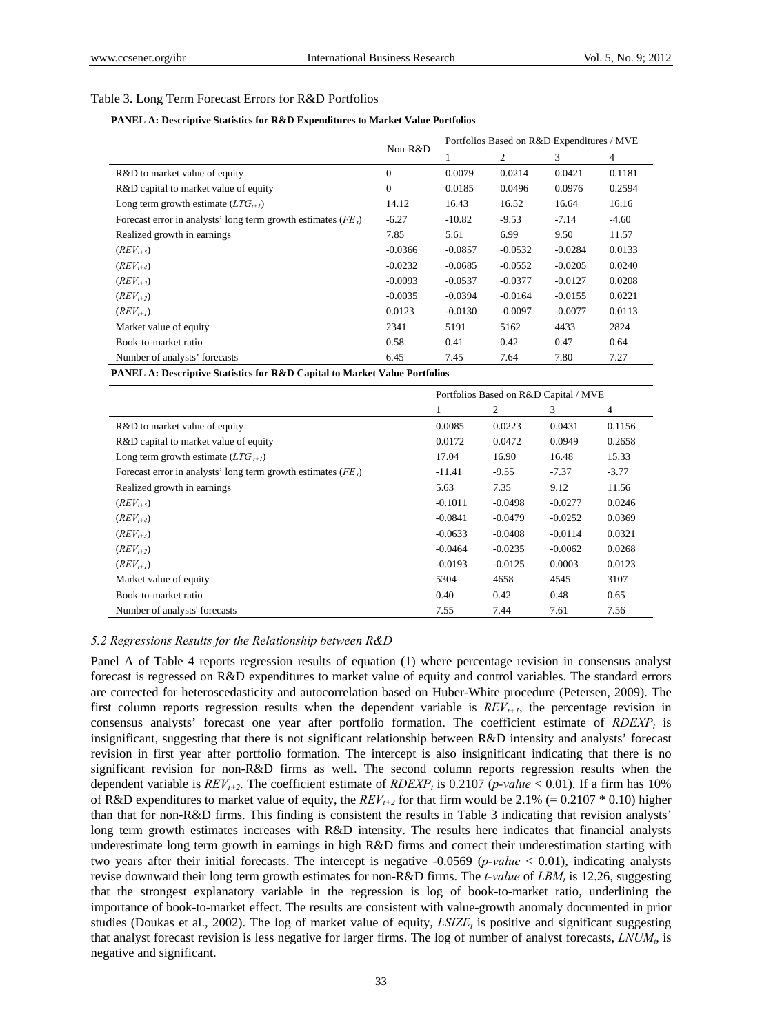## Table 3. Long Term Forecast Errors for R&D Portfolios

#### **PANEL A: Descriptive Statistics for R&D Expenditures to Market Value Portfolios**

|                                                                |                |           | Portfolios Based on R&D Expenditures / MVE |           |         |
|----------------------------------------------------------------|----------------|-----------|--------------------------------------------|-----------|---------|
|                                                                | Non-R&D        |           | 2                                          | 3         | 4       |
| R&D to market value of equity                                  | $\overline{0}$ | 0.0079    | 0.0214                                     | 0.0421    | 0.1181  |
| R&D capital to market value of equity                          | $\mathbf{0}$   | 0.0185    | 0.0496                                     | 0.0976    | 0.2594  |
| Long term growth estimate $(LTG_{t+1})$                        | 14.12          | 16.43     | 16.52                                      | 16.64     | 16.16   |
| Forecast error in analysts' long term growth estimates $(FEt)$ | $-6.27$        | $-10.82$  | $-9.53$                                    | $-7.14$   | $-4.60$ |
| Realized growth in earnings                                    | 7.85           | 5.61      | 6.99                                       | 9.50      | 11.57   |
| $(REV_{t+5})$                                                  | $-0.0366$      | $-0.0857$ | $-0.0532$                                  | $-0.0284$ | 0.0133  |
| $(REV_{t+4})$                                                  | $-0.0232$      | $-0.0685$ | $-0.0552$                                  | $-0.0205$ | 0.0240  |
| $(REV_{t+3})$                                                  | $-0.0093$      | $-0.0537$ | $-0.0377$                                  | $-0.0127$ | 0.0208  |
| $(REV_{t+2})$                                                  | $-0.0035$      | $-0.0394$ | $-0.0164$                                  | $-0.0155$ | 0.0221  |
| $(REV_{t+1})$                                                  | 0.0123         | $-0.0130$ | $-0.0097$                                  | $-0.0077$ | 0.0113  |
| Market value of equity                                         | 2341           | 5191      | 5162                                       | 4433      | 2824    |
| Book-to-market ratio                                           | 0.58           | 0.41      | 0.42                                       | 0.47      | 0.64    |
| Number of analysts' forecasts                                  | 6.45           | 7.45      | 7.64                                       | 7.80      | 7.27    |

**PANEL A: Descriptive Statistics for R&D Capital to Market Value Portfolios**

|                                                                | Portfolios Based on R&D Capital / MVE |           |           |                |
|----------------------------------------------------------------|---------------------------------------|-----------|-----------|----------------|
|                                                                | 1                                     | 2         | 3         | $\overline{4}$ |
| R&D to market value of equity                                  | 0.0085                                | 0.0223    | 0.0431    | 0.1156         |
| R&D capital to market value of equity                          | 0.0172                                | 0.0472    | 0.0949    | 0.2658         |
| Long term growth estimate $(LTG_{t+1})$                        | 17.04                                 | 16.90     | 16.48     | 15.33          |
| Forecast error in analysts' long term growth estimates $(FEt)$ | -11.41                                | $-9.55$   | $-7.37$   | $-3.77$        |
| Realized growth in earnings                                    | 5.63                                  | 7.35      | 9.12      | 11.56          |
| $(REV_{t+5})$                                                  | $-0.1011$                             | $-0.0498$ | $-0.0277$ | 0.0246         |
| $(REV_{t+4})$                                                  | $-0.0841$                             | $-0.0479$ | $-0.0252$ | 0.0369         |
| $(REV_{t+3})$                                                  | $-0.0633$                             | $-0.0408$ | $-0.0114$ | 0.0321         |
| $(REV_{t+2})$                                                  | $-0.0464$                             | $-0.0235$ | $-0.0062$ | 0.0268         |
| $(REV_{t+1})$                                                  | $-0.0193$                             | $-0.0125$ | 0.0003    | 0.0123         |
| Market value of equity                                         | 5304                                  | 4658      | 4545      | 3107           |
| Book-to-market ratio                                           | 0.40                                  | 0.42      | 0.48      | 0.65           |
| Number of analysts' forecasts                                  | 7.55                                  | 7.44      | 7.61      | 7.56           |

#### *5.2 Regressions Results for the Relationship between R&D*

Panel A of Table 4 reports regression results of equation (1) where percentage revision in consensus analyst forecast is regressed on R&D expenditures to market value of equity and control variables. The standard errors are corrected for heteroscedasticity and autocorrelation based on Huber-White procedure (Petersen, 2009). The first column reports regression results when the dependent variable is  $REV_{t+1}$ , the percentage revision in consensus analysts' forecast one year after portfolio formation. The coefficient estimate of *RDEXP<sub>t</sub>* is insignificant, suggesting that there is not significant relationship between R&D intensity and analysts' forecast revision in first year after portfolio formation. The intercept is also insignificant indicating that there is no significant revision for non-R&D firms as well. The second column reports regression results when the dependent variable is  $REV_{t+2}$ . The coefficient estimate of  $RDEXP_t$  is 0.2107 (*p-value* < 0.01). If a firm has 10% of R&D expenditures to market value of equity, the  $REV_{t+2}$  for that firm would be 2.1% (= 0.2107  $*$  0.10) higher than that for non-R&D firms. This finding is consistent the results in Table 3 indicating that revision analysts' long term growth estimates increases with R&D intensity. The results here indicates that financial analysts underestimate long term growth in earnings in high R&D firms and correct their underestimation starting with two years after their initial forecasts. The intercept is negative -0.0569 (*p-value* < 0.01), indicating analysts revise downward their long term growth estimates for non-R&D firms. The *t-value* of *LBM<sub>t</sub>* is 12.26, suggesting that the strongest explanatory variable in the regression is log of book-to-market ratio, underlining the importance of book-to-market effect. The results are consistent with value-growth anomaly documented in prior studies (Doukas et al., 2002). The log of market value of equity,  $LSIZE<sub>t</sub>$  is positive and significant suggesting that analyst forecast revision is less negative for larger firms. The log of number of analyst forecasts, *LNUMt*, is negative and significant.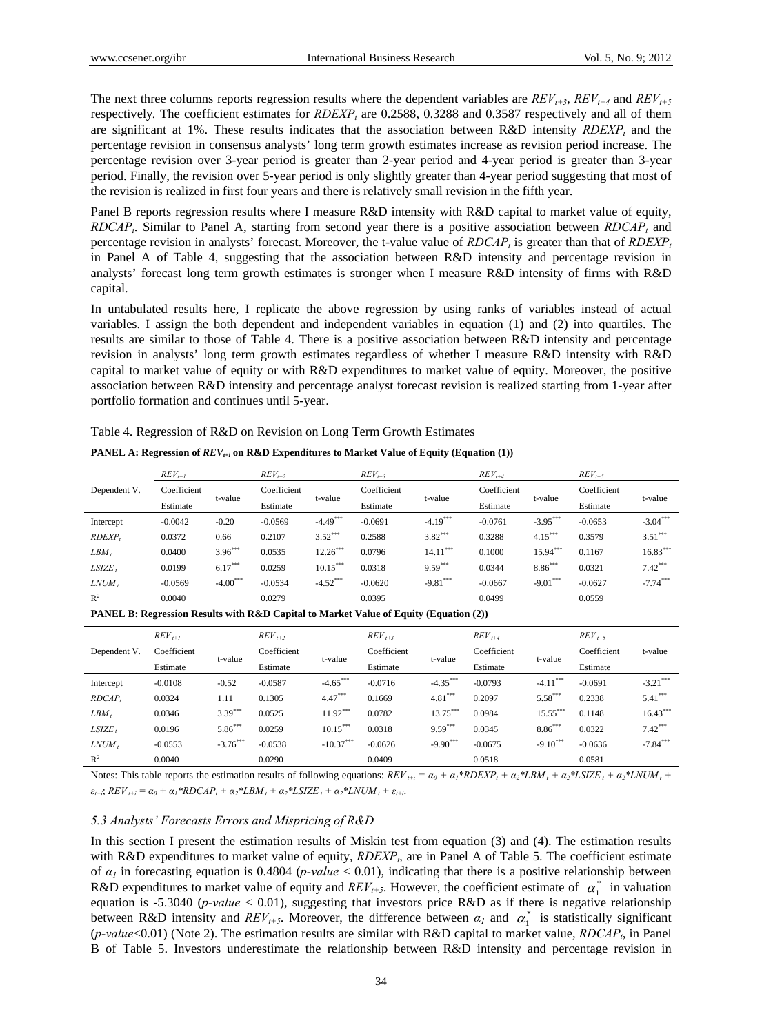The next three columns reports regression results where the dependent variables are  $REV_{t+3}$ ,  $REV_{t+4}$  and  $REV_{t+5}$ respectively. The coefficient estimates for  $RDEXP<sub>t</sub>$  are 0.2588, 0.3288 and 0.3587 respectively and all of them are significant at 1%. These results indicates that the association between  $R&D$  intensity  $RDEXP_t$  and the percentage revision in consensus analysts' long term growth estimates increase as revision period increase. The percentage revision over 3-year period is greater than 2-year period and 4-year period is greater than 3-year period. Finally, the revision over 5-year period is only slightly greater than 4-year period suggesting that most of the revision is realized in first four years and there is relatively small revision in the fifth year.

Panel B reports regression results where I measure R&D intensity with R&D capital to market value of equity, *RDCAP<sub>t</sub>*. Similar to Panel A, starting from second year there is a positive association between *RDCAP<sub>t</sub>* and percentage revision in analysts' forecast. Moreover, the t-value value of  $RDCAP<sub>t</sub>$  is greater than that of  $RDEXP<sub>t</sub>$ in Panel A of Table 4, suggesting that the association between R&D intensity and percentage revision in analysts' forecast long term growth estimates is stronger when I measure R&D intensity of firms with R&D capital.

In untabulated results here, I replicate the above regression by using ranks of variables instead of actual variables. I assign the both dependent and independent variables in equation (1) and (2) into quartiles. The results are similar to those of Table 4. There is a positive association between R&D intensity and percentage revision in analysts' long term growth estimates regardless of whether I measure R&D intensity with R&D capital to market value of equity or with R&D expenditures to market value of equity. Moreover, the positive association between R&D intensity and percentage analyst forecast revision is realized starting from 1-year after portfolio formation and continues until 5-year.

Table 4. Regression of R&D on Revision on Long Term Growth Estimates

|                | $REV_{t+1}$ |             | $REV_{t+2}$ |            | $REV_{t+3}$ |            | $REV_{t+4}$ |            | $REV_{t+5}$ |            |
|----------------|-------------|-------------|-------------|------------|-------------|------------|-------------|------------|-------------|------------|
| Dependent V.   | Coefficient | t-value     | Coefficient | t-value    | Coefficient | t-value    | Coefficient | t-value    | Coefficient | t-value    |
|                | Estimate    |             | Estimate    |            | Estimate    |            | Estimate    |            | Estimate    |            |
| Intercept      | $-0.0042$   | $-0.20$     | $-0.0569$   | $-4.49***$ | $-0.0691$   | $-4.19***$ | $-0.0761$   | $-3.95***$ | $-0.0653$   | $-3.04***$ |
| RDEXP,         | 0.0372      | 0.66        | 0.2107      | $3.52***$  | 0.2588      | $3.82***$  | 0.3288      | $4.15***$  | 0.3579      | $3.51***$  |
| $LBM$ ,        | 0.0400      | $3.96***$   | 0.0535      | $12.26***$ | 0.0796      | $14.11***$ | 0.1000      | $15.94***$ | 0.1167      | $16.83***$ |
| $LSIZE$ ,      | 0.0199      | $6.17***$   | 0.0259      | $10.15***$ | 0.0318      | $9.59***$  | 0.0344      | $8.86***$  | 0.0321      | $7.42***$  |
| LNUM,          | $-0.0569$   | $-4.00$ *** | $-0.0534$   | $-4.52***$ | $-0.0620$   | $-9.81***$ | $-0.0667$   | $-9.01***$ | $-0.0627$   | $-7.74***$ |
| R <sup>2</sup> | 0.0040      |             | 0.0279      |            | 0.0395      |            | 0.0499      |            | 0.0559      |            |

**PANEL A: Regression of**  $REV_{t+i}$  **on R&D Expenditures to Market Value of Equity (Equation (1))** 

**PANEL B: Regression Results with R&D Capital to Market Value of Equity (Equation (2))** 

|              | $REV_{t+1}$ |            | $REV_{t+2}$ |             | $REV_{t+3}$ |            | $REV_{t+4}$ |            | $REV_{t+5}$ |             |
|--------------|-------------|------------|-------------|-------------|-------------|------------|-------------|------------|-------------|-------------|
| Dependent V. | Coefficient |            | Coefficient |             | Coefficient |            | Coefficient |            | Coefficient | t-value     |
|              | Estimate    | t-value    | Estimate    | t-value     | Estimate    | t-value    | Estimate    | t-value    | Estimate    |             |
| Intercept    | $-0.0108$   | $-0.52$    | $-0.0587$   | $-4.65***$  | $-0.0716$   | $-4.35***$ | $-0.0793$   | $-4.11$    | $-0.0691$   | $-3.21$ *** |
| RDCAP        | 0.0324      | 1.11       | 0.1305      | $4.47***$   | 0.1669      | $4.81***$  | 0.2097      | $5.58***$  | 0.2338      | $5.41***$   |
| $LBM$ ,      | 0.0346      | $3.39***$  | 0.0525      | $11.92***$  | 0.0782      | $13.75***$ | 0.0984      | $15.55***$ | 0.1148      | $16.43***$  |
| LSIZE,       | 0.0196      | $5.86***$  | 0.0259      | $10.15***$  | 0.0318      | $9.59***$  | 0.0345      | $8.86***$  | 0.0322      | $7.42***$   |
| LNUM,        | $-0.0553$   | $-3.76***$ | $-0.0538$   | $-10.37***$ | $-0.0626$   | $-9.90***$ | $-0.0675$   | $-9.10***$ | $-0.0636$   | $-7.84***$  |
| $R^2$        | 0.0040      |            | 0.0290      |             | 0.0409      |            | 0.0518      |            | 0.0581      |             |

Notes: This table reports the estimation results of following equations:  $REV_{t+i} = \alpha_0 + \alpha_1 * RDEXP_t + \alpha_2 * LBM_t + \alpha_2 * LSIZE_t + \alpha_2 * LNUM_t + \alpha_1 * RBEXP_t + \alpha_2 * LBSCE$  $\varepsilon_{t+i}$ ;  $REV_{t+i} = \alpha_0 + \alpha_1 * RDCAP_t + \alpha_2 * LBM_t + \alpha_2 * LSIZE_t + \alpha_2 * LNUM_t + \varepsilon_{t+i}$ .

#### *5.3 Analysts' Forecasts Errors and Mispricing of R&D*

In this section I present the estimation results of Miskin test from equation (3) and (4). The estimation results with R&D expenditures to market value of equity, *RDEXP<sub>t</sub>*, are in Panel A of Table 5. The coefficient estimate of  $\alpha_l$  in forecasting equation is 0.4804 (*p-value* < 0.01), indicating that there is a positive relationship between R&D expenditures to market value of equity and *REV<sub>t+5</sub>*. However, the coefficient estimate of  $\alpha_1^*$  in valuation equation is -5.3040 (*p-value* < 0.01), suggesting that investors price R&D as if there is negative relationship between R&D intensity and  $REV_{t+5}$ . Moreover, the difference between  $\alpha_l$  and  $\alpha_l^*$  is statistically significant (*p-value*<0.01) (Note 2). The estimation results are similar with R&D capital to market value, *RDCAPt*, in Panel B of Table 5. Investors underestimate the relationship between R&D intensity and percentage revision in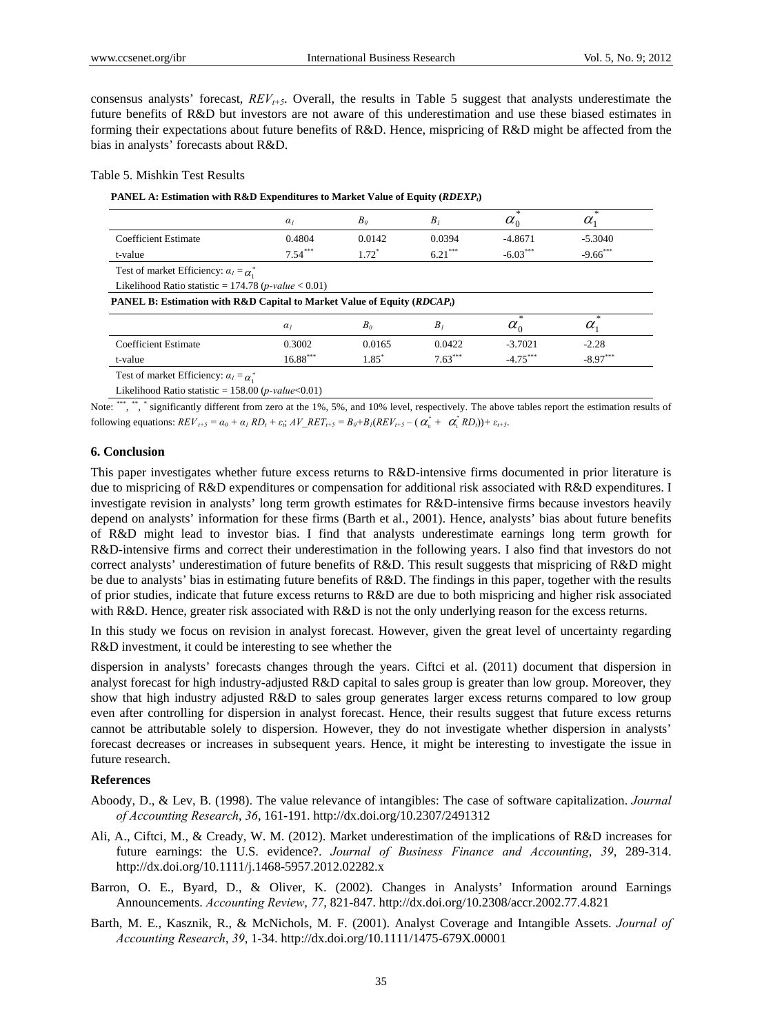consensus analysts' forecast,  $REV_{t+5}$ . Overall, the results in Table 5 suggest that analysts underestimate the future benefits of R&D but investors are not aware of this underestimation and use these biased estimates in forming their expectations about future benefits of R&D. Hence, mispricing of R&D might be affected from the bias in analysts' forecasts about R&D.

## Table 5. Mishkin Test Results

#### PANEL A: Estimation with R&D Expenditures to Market Value of Equity (*RDEXP<sub>t</sub>*)

|                                                                                     | $\alpha_I$ | B <sub>0</sub> | $B_I$     | $\frac{1}{2}$<br>$\alpha_{0}$ | $\gg$<br>$\alpha_{1}$ |
|-------------------------------------------------------------------------------------|------------|----------------|-----------|-------------------------------|-----------------------|
| <b>Coefficient Estimate</b>                                                         | 0.4804     | 0.0142         | 0.0394    | $-4.8671$                     | $-5.3040$             |
| t-value                                                                             | $7.54***$  | $1.72^*$       | $6.21***$ | $-6.03***$                    | $-9.66***$            |
| Test of market Efficiency: $\alpha_l = \alpha_l^*$                                  |            |                |           |                               |                       |
| Likelihood Ratio statistic = 174.78 ( <i>p-value</i> < 0.01)                        |            |                |           |                               |                       |
| <b>PANEL B: Estimation with R&amp;D Capital to Market Value of Equity (RDCAP</b> ,) |            |                |           |                               |                       |
|                                                                                     | $\alpha$   | B <sub>0</sub> | $B_I$     | $\frac{1}{2}$<br>$\alpha_{0}$ | *<br>$\alpha_{1}$     |
|                                                                                     | 0.3002     | 0.0165         | 0.0422    | $-3.7021$                     | $-2.28$               |
| <b>Coefficient Estimate</b>                                                         |            |                |           |                               |                       |

Note: \*\*\*, \*\*, \* significantly different from zero at the 1%, 5%, and 10% level, respectively. The above tables report the estimation results of following equations:  $REV_{t+5} = \alpha_0 + \alpha_1 RD_t + \varepsilon_t$ ;  $AV\_RET_{t+5} = B_0 + B_1 (REV_{t+5} - (\alpha_0^* + \alpha_1^* RD_t)) + \varepsilon_{t+5}$ .

#### **6. Conclusion**

This paper investigates whether future excess returns to R&D-intensive firms documented in prior literature is due to mispricing of R&D expenditures or compensation for additional risk associated with R&D expenditures. I investigate revision in analysts' long term growth estimates for R&D-intensive firms because investors heavily depend on analysts' information for these firms (Barth et al., 2001). Hence, analysts' bias about future benefits of R&D might lead to investor bias. I find that analysts underestimate earnings long term growth for R&D-intensive firms and correct their underestimation in the following years. I also find that investors do not correct analysts' underestimation of future benefits of R&D. This result suggests that mispricing of R&D might be due to analysts' bias in estimating future benefits of R&D. The findings in this paper, together with the results of prior studies, indicate that future excess returns to R&D are due to both mispricing and higher risk associated with R&D. Hence, greater risk associated with R&D is not the only underlying reason for the excess returns.

In this study we focus on revision in analyst forecast. However, given the great level of uncertainty regarding R&D investment, it could be interesting to see whether the

dispersion in analysts' forecasts changes through the years. Ciftci et al. (2011) document that dispersion in analyst forecast for high industry-adjusted R&D capital to sales group is greater than low group. Moreover, they show that high industry adjusted R&D to sales group generates larger excess returns compared to low group even after controlling for dispersion in analyst forecast. Hence, their results suggest that future excess returns cannot be attributable solely to dispersion. However, they do not investigate whether dispersion in analysts' forecast decreases or increases in subsequent years. Hence, it might be interesting to investigate the issue in future research.

# **References**

- Aboody, D., & Lev, B. (1998). The value relevance of intangibles: The case of software capitalization. *Journal of Accounting Research*, *36*, 161-191. http://dx.doi.org/10.2307/2491312
- Ali, A., Ciftci, M., & Cready, W. M. (2012). Market underestimation of the implications of R&D increases for future earnings: the U.S. evidence?. *Journal of Business Finance and Accounting*, *39*, 289-314. http://dx.doi.org/10.1111/j.1468-5957.2012.02282.x
- Barron, O. E., Byard, D., & Oliver, K. (2002). Changes in Analysts' Information around Earnings Announcements. *Accounting Review*, *77*, 821-847. http://dx.doi.org/10.2308/accr.2002.77.4.821
- Barth, M. E., Kasznik, R., & McNichols, M. F. (2001). Analyst Coverage and Intangible Assets. *Journal of Accounting Research*, *39*, 1-34. http://dx.doi.org/10.1111/1475-679X.00001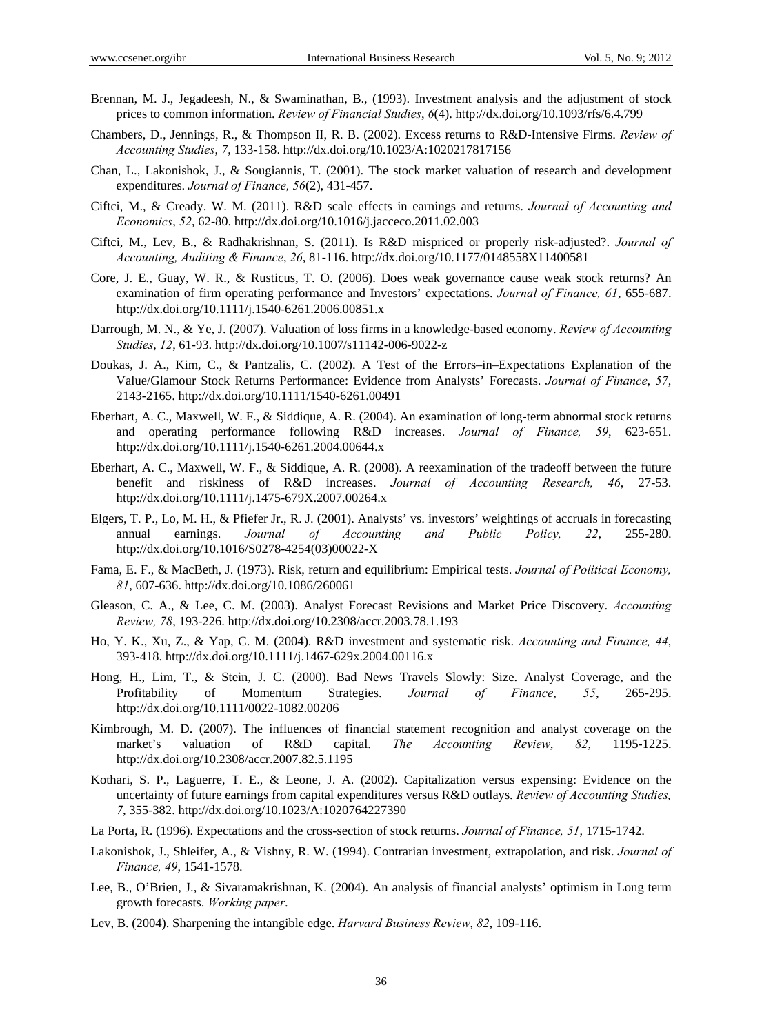- Brennan, M. J., Jegadeesh, N., & Swaminathan, B., (1993). Investment analysis and the adjustment of stock prices to common information. *Review of Financial Studies*, *6*(4). http://dx.doi.org/10.1093/rfs/6.4.799
- Chambers, D., Jennings, R., & Thompson II, R. B. (2002). Excess returns to R&D-Intensive Firms. *Review of Accounting Studies*, *7*, 133-158. http://dx.doi.org/10.1023/A:1020217817156
- Chan, L., Lakonishok, J., & Sougiannis, T. (2001). The stock market valuation of research and development expenditures. *Journal of Finance, 56*(2), 431-457.
- Ciftci, M., & Cready. W. M. (2011). R&D scale effects in earnings and returns. *Journal of Accounting and Economics*, *52*, 62-80. http://dx.doi.org/10.1016/j.jacceco.2011.02.003
- Ciftci, M., Lev, B., & Radhakrishnan, S. (2011). Is R&D mispriced or properly risk-adjusted?. *Journal of Accounting, Auditing & Finance*, *26*, 81-116. http://dx.doi.org/10.1177/0148558X11400581
- Core, J. E., Guay, W. R., & Rusticus, T. O. (2006). Does weak governance cause weak stock returns? An examination of firm operating performance and Investors' expectations. *Journal of Finance, 61*, 655-687. http://dx.doi.org/10.1111/j.1540-6261.2006.00851.x
- Darrough, M. N., & Ye, J. (2007). Valuation of loss firms in a knowledge-based economy. *Review of Accounting Studies*, *12*, 61-93. http://dx.doi.org/10.1007/s11142-006-9022-z
- Doukas, J. A., Kim, C., & Pantzalis, C. (2002). A Test of the Errors–in–Expectations Explanation of the Value/Glamour Stock Returns Performance: Evidence from Analysts' Forecasts. *Journal of Finance*, *57*, 2143-2165. http://dx.doi.org/10.1111/1540-6261.00491
- Eberhart, A. C., Maxwell, W. F., & Siddique, A. R. (2004). An examination of long-term abnormal stock returns and operating performance following R&D increases. *Journal of Finance, 59*, 623-651. http://dx.doi.org/10.1111/j.1540-6261.2004.00644.x
- Eberhart, A. C., Maxwell, W. F., & Siddique, A. R. (2008). A reexamination of the tradeoff between the future benefit and riskiness of R&D increases. *Journal of Accounting Research, 46*, 27-53. http://dx.doi.org/10.1111/j.1475-679X.2007.00264.x
- Elgers, T. P., Lo, M. H., & Pfiefer Jr., R. J. (2001). Analysts' vs. investors' weightings of accruals in forecasting annual earnings. *Journal of Accounting and Public Policy, 22*, 255-280. http://dx.doi.org/10.1016/S0278-4254(03)00022-X
- Fama, E. F., & MacBeth, J. (1973). Risk, return and equilibrium: Empirical tests. *Journal of Political Economy, 81*, 607-636. http://dx.doi.org/10.1086/260061
- Gleason, C. A., & Lee, C. M. (2003). Analyst Forecast Revisions and Market Price Discovery. *Accounting Review, 78*, 193-226. http://dx.doi.org/10.2308/accr.2003.78.1.193
- Ho, Y. K., Xu, Z., & Yap, C. M. (2004). R&D investment and systematic risk. *Accounting and Finance, 44*, 393-418. http://dx.doi.org/10.1111/j.1467-629x.2004.00116.x
- Hong, H., Lim, T., & Stein, J. C. (2000). Bad News Travels Slowly: Size. Analyst Coverage, and the Profitability of Momentum Strategies. *Journal of Finance*, *55*, 265-295. http://dx.doi.org/10.1111/0022-1082.00206
- Kimbrough, M. D. (2007). The influences of financial statement recognition and analyst coverage on the market's valuation of R&D capital. *The Accounting Review*, *82*, 1195-1225. http://dx.doi.org/10.2308/accr.2007.82.5.1195
- Kothari, S. P., Laguerre, T. E., & Leone, J. A. (2002). Capitalization versus expensing: Evidence on the uncertainty of future earnings from capital expenditures versus R&D outlays. *Review of Accounting Studies, 7*, 355-382. http://dx.doi.org/10.1023/A:1020764227390
- La Porta, R. (1996). Expectations and the cross-section of stock returns. *Journal of Finance, 51*, 1715-1742.
- Lakonishok, J., Shleifer, A., & Vishny, R. W. (1994). Contrarian investment, extrapolation, and risk. *Journal of Finance, 49*, 1541-1578.
- Lee, B., O'Brien, J., & Sivaramakrishnan, K. (2004). An analysis of financial analysts' optimism in Long term growth forecasts. *Working paper*.
- Lev, B. (2004). Sharpening the intangible edge. *Harvard Business Review*, *82*, 109-116.